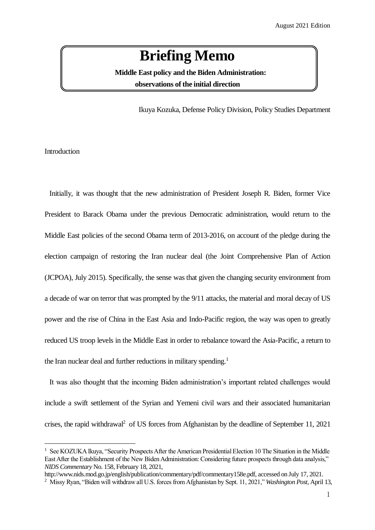## **Briefing Memo**

 **Middle East policy and the Biden Administration: observations of the initial direction**

Ikuya Kozuka, Defense Policy Division, Policy Studies Department

**Introduction** 

l

Initially, it was thought that the new administration of President Joseph R. Biden, former Vice President to Barack Obama under the previous Democratic administration, would return to the Middle East policies of the second Obama term of 2013-2016, on account of the pledge during the election campaign of restoring the Iran nuclear deal (the Joint Comprehensive Plan of Action (JCPOA), July 2015). Specifically, the sense was that given the changing security environment from a decade of war on terror that was prompted by the 9/11 attacks, the material and moral decay of US power and the rise of China in the East Asia and Indo-Pacific region, the way was open to greatly reduced US troop levels in the Middle East in order to rebalance toward the Asia-Pacific, a return to the Iran nuclear deal and further reductions in military spending.<sup>1</sup>

It was also thought that the incoming Biden administration's important related challenges would include a swift settlement of the Syrian and Yemeni civil wars and their associated humanitarian crises, the rapid withdrawal<sup>2</sup> of US forces from Afghanistan by the deadline of September 11, 2021

<sup>&</sup>lt;sup>1</sup> See KOZUKA Ikuva, "Security Prospects After the American Presidential Election 10 The Situation in the Middle East After the Establishment of the New Biden Administration: Considering future prospects through data analysis," *NIDS Commentary* No. 158, February 18, 2021,

http://www.nids.mod.go.jp/english/publication/commentary/pdf/commentary158e.pdf, accessed on July 17, 2021.

<sup>2</sup> Missy Ryan, "Biden will withdraw all U.S. forces from Afghanistan by Sept. 11, 2021," *Washington Post*, April 13,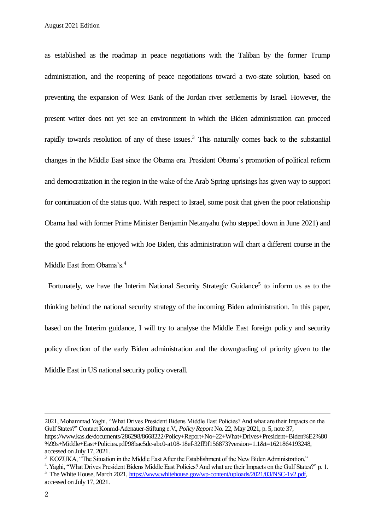August 2021 Edition

as established as the roadmap in peace negotiations with the Taliban by the former Trump administration, and the reopening of peace negotiations toward a two-state solution, based on preventing the expansion of West Bank of the Jordan river settlements by Israel. However, the present writer does not yet see an environment in which the Biden administration can proceed rapidly towards resolution of any of these issues.<sup>3</sup> This naturally comes back to the substantial changes in the Middle East since the Obama era. President Obama's promotion of political reform and democratization in the region in the wake of the Arab Spring uprisings has given way to support for continuation of the status quo. With respect to Israel, some posit that given the poor relationship Obama had with former Prime Minister Benjamin Netanyahu (who stepped down in June 2021) and the good relations he enjoyed with Joe Biden, this administration will chart a different course in the Middle East from Obama's.<sup>4</sup>

Fortunately, we have the Interim National Security Strategic Guidance<sup>5</sup> to inform us as to the thinking behind the national security strategy of the incoming Biden administration. In this paper, based on the Interim guidance, I will try to analyse the Middle East foreign policy and security policy direction of the early Biden administration and the downgrading of priority given to the Middle East in US national security policy overall.

 $\overline{a}$ 

<sup>2021,</sup> Mohammad Yaghi, "What Drives President Bidens Middle East Policies? And what are their Impacts on the Gulf States?" Contact Konrad-Adenauer-Stiftung e.V., *Policy Report* No. 22, May 2021, p. 5, note 37, https://www.kas.de/documents/286298/8668222/Policy+Report+No+22+What+Drives+President+Biden%E2%80 %99s+Middle+East+Policies.pdf/98bac5dc-abc0-a108-18ef-32ff9f156873?version=1.1&t=1621864193248, accessed on July 17, 2021.

<sup>&</sup>lt;sup>3</sup> KOZUKA, "The Situation in the Middle East After the Establishment of the New Biden Administration."

<sup>&</sup>lt;sup>4</sup>. Yaghi, "What Drives President Bidens Middle East Policies? And what are their Impacts on the Gulf States?" p. 1. <sup>5</sup> The White House, March 2021, [https://www.whitehouse.gov/wp-content/uploads/2021/03/NSC-1v2.pdf,](https://www.whitehouse.gov/wp-content/uploads/2021/03/NSC-1v2.pdf) accessed on July 17, 2021.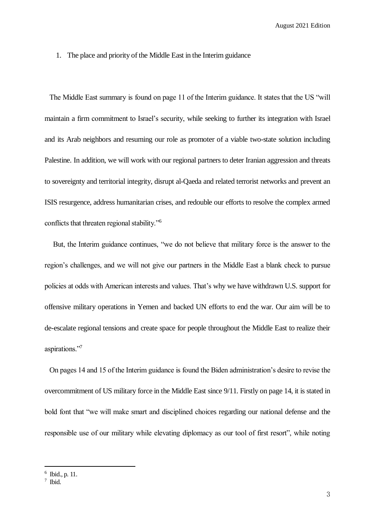August 2021 Edition

1. The place and priority of the Middle East in the Interim guidance

The Middle East summary is found on page 11 of the Interim guidance. It states that the US "will maintain a firm commitment to Israel's security, while seeking to further its integration with Israel and its Arab neighbors and resuming our role as promoter of a viable two-state solution including Palestine. In addition, we will work with our regional partners to deter Iranian aggression and threats to sovereignty and territorial integrity, disrupt al-Qaeda and related terrorist networks and prevent an ISIS resurgence, address humanitarian crises, and redouble our efforts to resolve the complex armed conflicts that threaten regional stability."<sup>6</sup>

But, the Interim guidance continues, "we do not believe that military force is the answer to the region's challenges, and we will not give our partners in the Middle East a blank check to pursue policies at odds with American interests and values. That's why we have withdrawn U.S. support for offensive military operations in Yemen and backed UN efforts to end the war. Our aim will be to de-escalate regional tensions and create space for people throughout the Middle East to realize their aspirations."<sup>7</sup>

On pages 14 and 15 of the Interim guidance is found the Biden administration's desire to revise the overcommitment of US military force in the Middle East since 9/11. Firstly on page 14, it is stated in bold font that "we will make smart and disciplined choices regarding our national defense and the responsible use of our military while elevating diplomacy as our tool of first resort", while noting

l

<sup>6</sup> Ibid., p. 11.

<sup>7</sup> Ibid.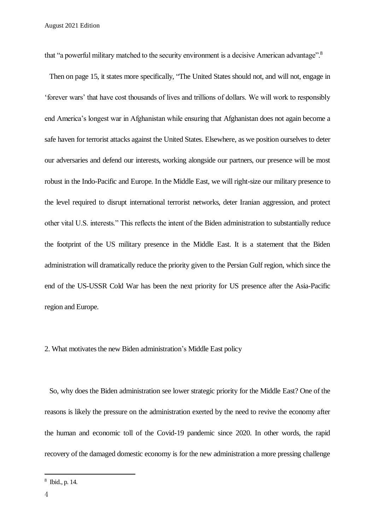that "a powerful military matched to the security environment is a decisive American advantage".<sup>8</sup>

Then on page 15, it states more specifically, "The United States should not, and will not, engage in 'forever wars' that have cost thousands of lives and trillions of dollars. We will work to responsibly end America's longest war in Afghanistan while ensuring that Afghanistan does not again become a safe haven for terrorist attacks against the United States. Elsewhere, as we position ourselves to deter our adversaries and defend our interests, working alongside our partners, our presence will be most robust in the Indo-Pacific and Europe. In the Middle East, we will right-size our military presence to the level required to disrupt international terrorist networks, deter Iranian aggression, and protect other vital U.S. interests." This reflects the intent of the Biden administration to substantially reduce the footprint of the US military presence in the Middle East. It is a statement that the Biden administration will dramatically reduce the priority given to the Persian Gulf region, which since the end of the US-USSR Cold War has been the next priority for US presence after the Asia-Pacific region and Europe.

## 2. What motivates the new Biden administration's Middle East policy

So, why does the Biden administration see lower strategic priority for the Middle East? One of the reasons is likely the pressure on the administration exerted by the need to revive the economy after the human and economic toll of the Covid-19 pandemic since 2020. In other words, the rapid recovery of the damaged domestic economy is for the new administration a more pressing challenge

 $\overline{a}$ 

<sup>8</sup> Ibid., p. 14.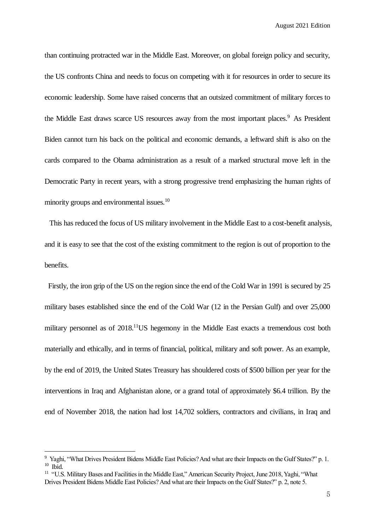August 2021 Edition

than continuing protracted war in the Middle East. Moreover, on global foreign policy and security, the US confronts China and needs to focus on competing with it for resources in order to secure its economic leadership. Some have raised concerns that an outsized commitment of military forces to the Middle East draws scarce US resources away from the most important places.<sup>9</sup> As President Biden cannot turn his back on the political and economic demands, a leftward shift is also on the cards compared to the Obama administration as a result of a marked structural move left in the Democratic Party in recent years, with a strong progressive trend emphasizing the human rights of minority groups and environmental issues.<sup>10</sup>

This has reduced the focus of US military involvement in the Middle East to a cost-benefit analysis, and it is easy to see that the cost of the existing commitment to the region is out of proportion to the benefits.

Firstly, the iron grip of the US on the region since the end of the Cold War in 1991 is secured by 25 military bases established since the end of the Cold War (12 in the Persian Gulf) and over 25,000 military personnel as of 2018.<sup>11</sup>US hegemony in the Middle East exacts a tremendous cost both materially and ethically, and in terms of financial, political, military and soft power. As an example, by the end of 2019, the United States Treasury has shouldered costs of \$500 billion per year for the interventions in Iraq and Afghanistan alone, or a grand total of approximately \$6.4 trillion. By the end of November 2018, the nation had lost 14,702 soldiers, contractors and civilians, in Iraq and

l

<sup>&</sup>lt;sup>9</sup> Yaghi, "What Drives President Bidens Middle East Policies? And what are their Impacts on the Gulf States?" p. 1.  $10$  Ibid.

<sup>&</sup>lt;sup>11</sup> "U.S. Military Bases and Facilities in the Middle East," American Security Project, June 2018, Yaghi, "What Drives President Bidens Middle East Policies? And what are their Impacts on the Gulf States?" p. 2, note 5.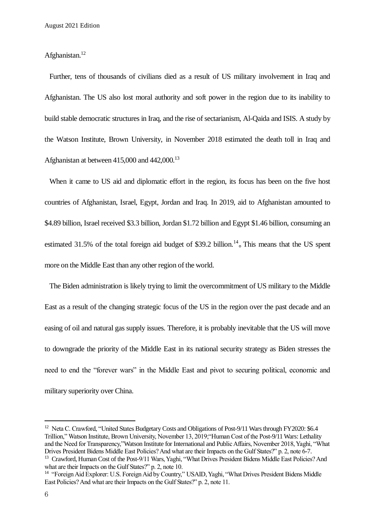Afghanistan. 12

Further, tens of thousands of civilians died as a result of US military involvement in Iraq and Afghanistan. The US also lost moral authority and soft power in the region due to its inability to build stable democratic structures in Iraq, and the rise of sectarianism, Al-Qaida and ISIS. A study by the Watson Institute, Brown University, in November 2018 estimated the death toll in Iraq and Afghanistan at between 415,000 and 442,000.<sup>13</sup>

When it came to US aid and diplomatic effort in the region, its focus has been on the five host countries of Afghanistan, Israel, Egypt, Jordan and Iraq. In 2019, aid to Afghanistan amounted to \$4.89 billion, Israel received \$3.3 billion, Jordan \$1.72 billion and Egypt \$1.46 billion, consuming an estimated 31.5% of the total foreign aid budget of  $$39.2$  billion.<sup>14</sup> This means that the US spent more on the Middle East than any other region of the world.

The Biden administration is likely trying to limit the overcommitment of US military to the Middle East as a result of the changing strategic focus of the US in the region over the past decade and an easing of oil and natural gas supply issues. Therefore, it is probably inevitable that the US will move to downgrade the priority of the Middle East in its national security strategy as Biden stresses the need to end the "forever wars" in the Middle East and pivot to securing political, economic and military superiority over China.

 $\overline{a}$ 

<sup>&</sup>lt;sup>12</sup> Neta C. Crawford, "United States Budgetary Costs and Obligations of Post-9/11 Wars through FY2020: \$6.4 Trillion," Watson Institute, Brown University, November 13, 2019;"Human Cost of the Post-9/11 Wars: Lethality and the Need for Transparency,"Watson Institute for International and Public Affairs, November 2018, Yaghi, "What Drives President Bidens Middle East Policies? And what are their Impacts on the Gulf States?" p. 2, note 6-7.

<sup>&</sup>lt;sup>13</sup> Crawford, Human Cost of the Post-9/11 Wars, Yaghi, "What Drives President Bidens Middle East Policies? And what are their Impacts on the Gulf States?" p. 2, note 10.

<sup>14</sup> "Foreign Aid Explorer: U.S. Foreign Aid by Country," USAID, Yaghi, "What Drives President Bidens Middle East Policies? And what are their Impacts on the Gulf States?" p. 2, note 11.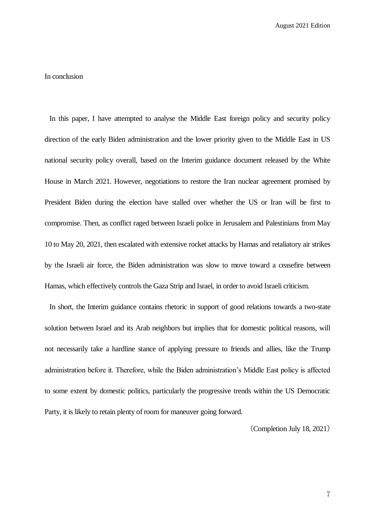## In conclusion

In this paper, I have attempted to analyse the Middle East foreign policy and security policy direction of the early Biden administration and the lower priority given to the Middle East in US national security policy overall, based on the Interim guidance document released by the White House in March 2021. However, negotiations to restore the Iran nuclear agreement promised by President Biden during the election have stalled over whether the US or Iran will be first to compromise. Then, as conflict raged between Israeli police in Jerusalem and Palestinians from May 10 to May 20, 2021, then escalated with extensive rocket attacks by Hamas and retaliatory air strikes by the Israeli air force, the Biden administration was slow to move toward a ceasefire between Hamas, which effectively controls the Gaza Strip and Israel, in order to avoid Israeli criticism.

In short, the Interim guidance contains rhetoric in support of good relations towards a two-state solution between Israel and its Arab neighbors but implies that for domestic political reasons, will not necessarily take a hardline stance of applying pressure to friends and allies, like the Trump administration before it. Therefore, while the Biden administration's Middle East policy is affected to some extent by domestic politics, particularly the progressive trends within the US Democratic Party, it is likely to retain plenty of room for maneuver going forward.

(Completion July 18, 2021)